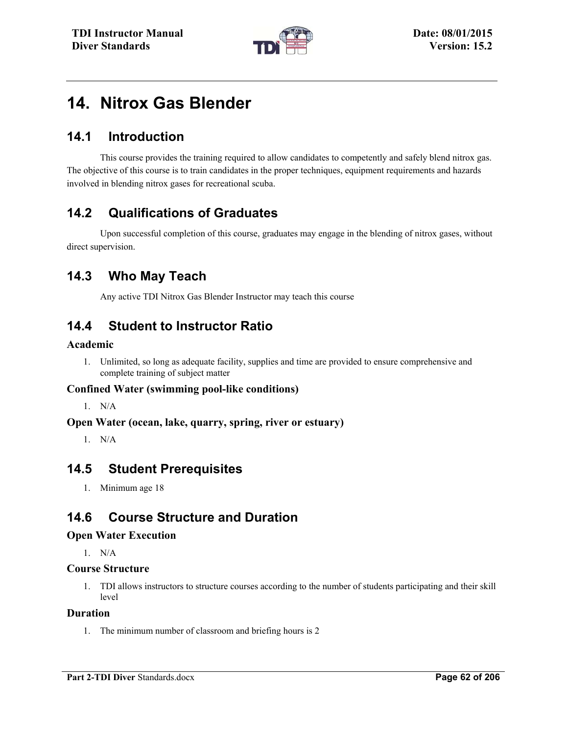

# **14. Nitrox Gas Blender**

## **14.1 Introduction**

This course provides the training required to allow candidates to competently and safely blend nitrox gas. The objective of this course is to train candidates in the proper techniques, equipment requirements and hazards involved in blending nitrox gases for recreational scuba.

# **14.2 Qualifications of Graduates**

Upon successful completion of this course, graduates may engage in the blending of nitrox gases, without direct supervision.

### **14.3 Who May Teach**

Any active TDI Nitrox Gas Blender Instructor may teach this course

### **14.4 Student to Instructor Ratio**

#### **Academic**

1. Unlimited, so long as adequate facility, supplies and time are provided to ensure comprehensive and complete training of subject matter

#### **Confined Water (swimming pool-like conditions)**

1. N/A

#### **Open Water (ocean, lake, quarry, spring, river or estuary)**

1. N/A

### **14.5 Student Prerequisites**

1. Minimum age 18

### **14.6 Course Structure and Duration**

#### **Open Water Execution**

1. N/A

#### **Course Structure**

1. TDI allows instructors to structure courses according to the number of students participating and their skill level

#### **Duration**

1. The minimum number of classroom and briefing hours is 2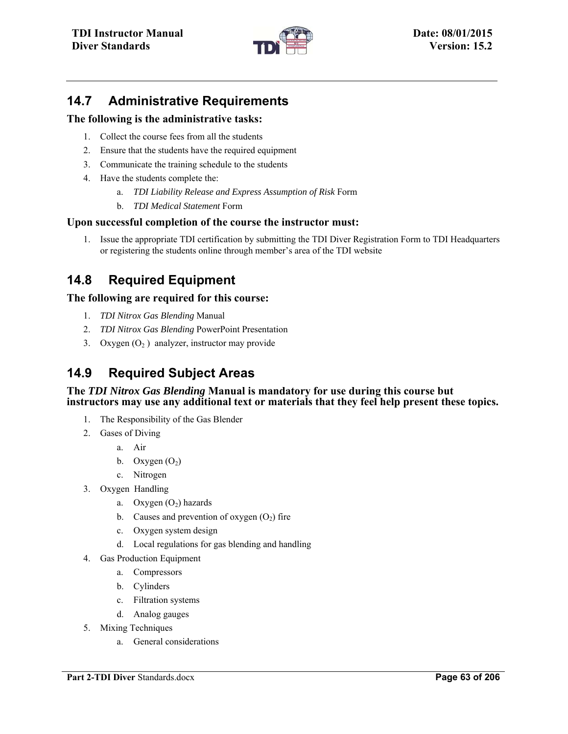

# **14.7 Administrative Requirements**

#### **The following is the administrative tasks:**

- 1. Collect the course fees from all the students
- 2. Ensure that the students have the required equipment
- 3. Communicate the training schedule to the students
- 4. Have the students complete the:
	- a. *TDI Liability Release and Express Assumption of Risk* Form
	- b. *TDI Medical Statement* Form

#### **Upon successful completion of the course the instructor must:**

1. Issue the appropriate TDI certification by submitting the TDI Diver Registration Form to TDI Headquarters or registering the students online through member's area of the TDI website

# **14.8 Required Equipment**

#### **The following are required for this course:**

- 1. *TDI Nitrox Gas Blending* Manual
- 2. *TDI Nitrox Gas Blending* PowerPoint Presentation
- 3. Oxygen  $(O_2)$  analyzer, instructor may provide

# **14.9 Required Subject Areas**

#### **The** *TDI Nitrox Gas Blending* **Manual is mandatory for use during this course but instructors may use any additional text or materials that they feel help present these topics.**

- 1. The Responsibility of the Gas Blender
- 2. Gases of Diving
	- a. Air
	- b. Oxygen  $(O_2)$
	- c. Nitrogen
- 3. Oxygen Handling
	- a. Oxygen  $(O_2)$  hazards
	- b. Causes and prevention of oxygen  $(O_2)$  fire
	- c. Oxygen system design
	- d. Local regulations for gas blending and handling
- 4. Gas Production Equipment
	- a. Compressors
	- b. Cylinders
	- c. Filtration systems
	- d. Analog gauges
- 5. Mixing Techniques
	- a. General considerations